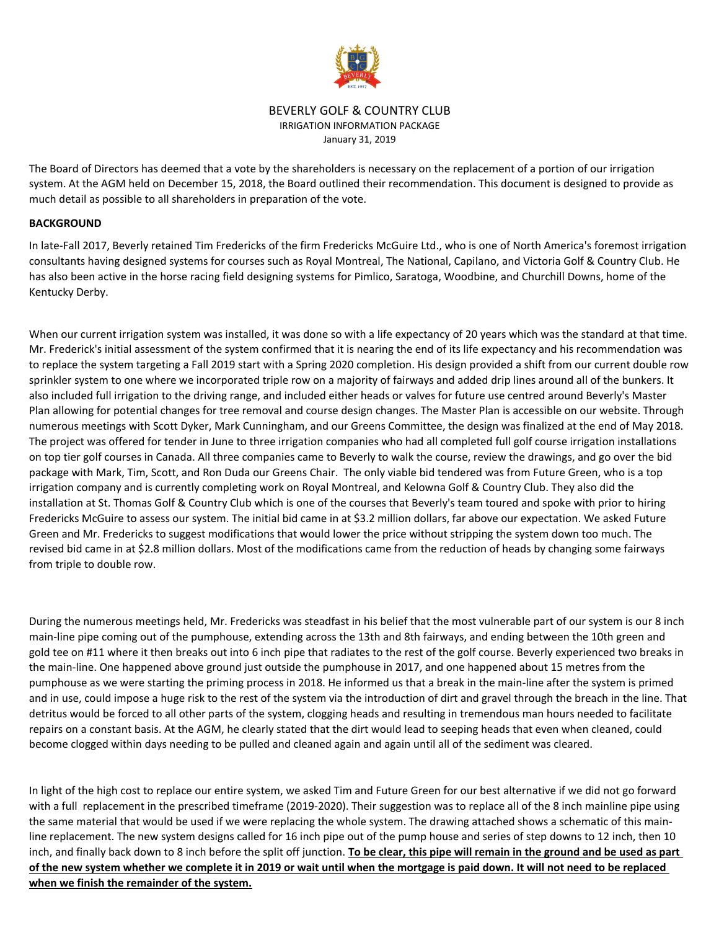

# BEVERLY GOLF & COUNTRY CLUB IRRIGATION INFORMATION PACKAGE January 31, 2019

The Board of Directors has deemed that a vote by the shareholders is necessary on the replacement of a portion of our irrigation system. At the AGM held on December 15, 2018, the Board outlined their recommendation. This document is designed to provide as much detail as possible to all shareholders in preparation of the vote.

## **BACKGROUND**

In late-Fall 2017, Beverly retained Tim Fredericks of the firm Fredericks McGuire Ltd., who is one of North America's foremost irrigation consultants having designed systems for courses such as Royal Montreal, The National, Capilano, and Victoria Golf & Country Club. He has also been active in the horse racing field designing systems for Pimlico, Saratoga, Woodbine, and Churchill Downs, home of the Kentucky Derby.

When our current irrigation system was installed, it was done so with a life expectancy of 20 years which was the standard at that time. Mr. Frederick's initial assessment of the system confirmed that it is nearing the end of its life expectancy and his recommendation was to replace the system targeting a Fall 2019 start with a Spring 2020 completion. His design provided a shift from our current double row sprinkler system to one where we incorporated triple row on a majority of fairways and added drip lines around all of the bunkers. It also included full irrigation to the driving range, and included either heads or valves for future use centred around Beverly's Master Plan allowing for potential changes for tree removal and course design changes. The Master Plan is accessible on our website. Through numerous meetings with Scott Dyker, Mark Cunningham, and our Greens Committee, the design was finalized at the end of May 2018. The project was offered for tender in June to three irrigation companies who had all completed full golf course irrigation installations on top tier golf courses in Canada. All three companies came to Beverly to walk the course, review the drawings, and go over the bid package with Mark, Tim, Scott, and Ron Duda our Greens Chair. The only viable bid tendered was from Future Green, who is a top irrigation company and is currently completing work on Royal Montreal, and Kelowna Golf & Country Club. They also did the installation at St. Thomas Golf & Country Club which is one of the courses that Beverly's team toured and spoke with prior to hiring Fredericks McGuire to assess our system. The initial bid came in at \$3.2 million dollars, far above our expectation. We asked Future Green and Mr. Fredericks to suggest modifications that would lower the price without stripping the system down too much. The revised bid came in at \$2.8 million dollars. Most of the modifications came from the reduction of heads by changing some fairways from triple to double row.

During the numerous meetings held, Mr. Fredericks was steadfast in his belief that the most vulnerable part of our system is our 8 inch main-line pipe coming out of the pumphouse, extending across the 13th and 8th fairways, and ending between the 10th green and gold tee on #11 where it then breaks out into 6 inch pipe that radiates to the rest of the golf course. Beverly experienced two breaks in the main-line. One happened above ground just outside the pumphouse in 2017, and one happened about 15 metres from the pumphouse as we were starting the priming process in 2018. He informed us that a break in the main-line after the system is primed and in use, could impose a huge risk to the rest of the system via the introduction of dirt and gravel through the breach in the line. That detritus would be forced to all other parts of the system, clogging heads and resulting in tremendous man hours needed to facilitate repairs on a constant basis. At the AGM, he clearly stated that the dirt would lead to seeping heads that even when cleaned, could become clogged within days needing to be pulled and cleaned again and again until all of the sediment was cleared.

In light of the high cost to replace our entire system, we asked Tim and Future Green for our best alternative if we did not go forward with a full replacement in the prescribed timeframe (2019-2020). Their suggestion was to replace all of the 8 inch mainline pipe using the same material that would be used if we were replacing the whole system. The drawing attached shows a schematic of this mainline replacement. The new system designs called for 16 inch pipe out of the pump house and series of step downs to 12 inch, then 10 inch, and finally back down to 8 inch before the split off junction. **To be clear, this pipe will remain in the ground and be used as part of the new system whether we complete it in 2019 or wait until when the mortgage is paid down. It will not need to be replaced when we finish the remainder of the system.**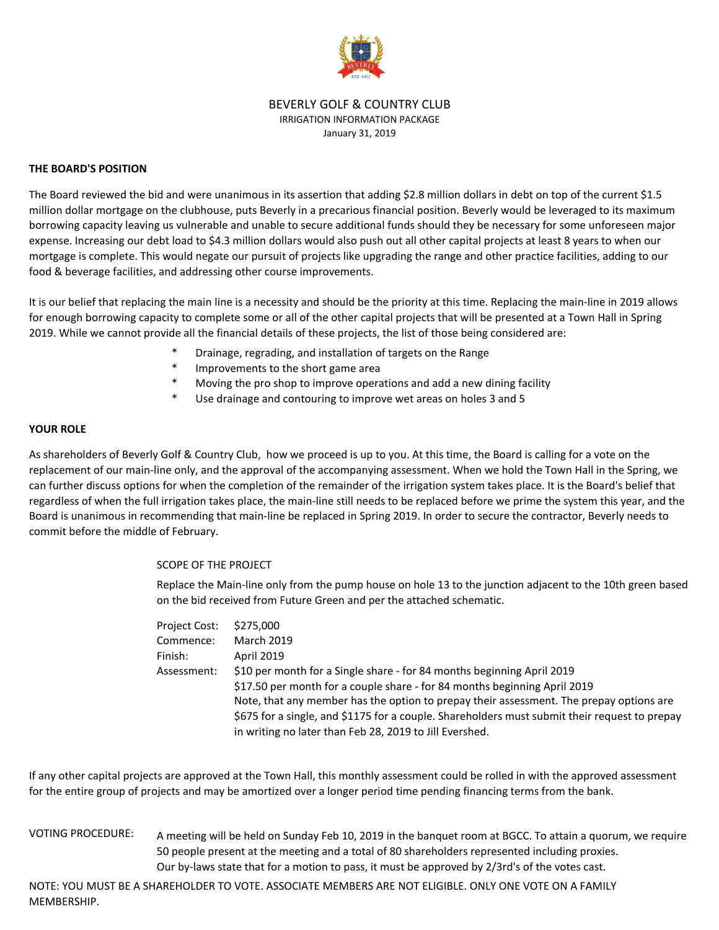

## BEVERLY GOLF & COUNTRY CLUB IRRIGATION INFORMATION PACKAGE January 31, 2019

## **THE BOARD'S POSITION**

The Board reviewed the bid and were unanimous in its assertion that adding \$2.8 million dollars in debt on top of the current \$1.5 million dollar mortgage on the clubhouse, puts Beverly in a precarious financial position. Beverly would be leveraged to its maximum borrowing capacity leaving us vulnerable and unable to secure additional funds should they be necessary for some unforeseen major expense. Increasing our debt load to \$4.3 million dollars would also push out all other capital projects at least 8 years to when our mortgage is complete. This would negate our pursuit of projects like upgrading the range and other practice facilities, adding to our food & beverage facilities, and addressing other course improvements.

It is our belief that replacing the main line is a necessity and should be the priority at this time. Replacing the main-line in 2019 allows for enough borrowing capacity to complete some or all of the other capital projects that will be presented at a Town Hall in Spring 2019. While we cannot provide all the financial details of these projects, the list of those being considered are:

- Drainage, regrading, and installation of targets on the Range
- Improvements to the short game area
- Moving the pro shop to improve operations and add a new dining facility
- Use drainage and contouring to improve wet areas on holes 3 and 5

# **YOUR ROLE**

As shareholders of Beverly Golf & Country Club, how we proceed is up to you. At this time, the Board is calling for a vote on the replacement of our main-line only, and the approval of the accompanying assessment. When we hold the Town Hall in the Spring, we can further discuss options for when the completion of the remainder of the irrigation system takes place. It is the Board's belief that regardless of when the full irrigation takes place, the main-line still needs to be replaced before we prime the system this year, and the Board is unanimous in recommending that main-line be replaced in Spring 2019. In order to secure the contractor, Beverly needs to commit before the middle of February.

#### SCOPE OF THE PROJECT

Replace the Main-line only from the pump house on hole 13 to the junction adjacent to the 10th green based on the bid received from Future Green and per the attached schematic.

| <b>Project Cost:</b> | \$275,000                                                                                     |
|----------------------|-----------------------------------------------------------------------------------------------|
| Commence:            | <b>March 2019</b>                                                                             |
| Finish:              | <b>April 2019</b>                                                                             |
| Assessment:          | \$10 per month for a Single share - for 84 months beginning April 2019                        |
|                      | \$17.50 per month for a couple share - for 84 months beginning April 2019                     |
|                      | Note, that any member has the option to prepay their assessment. The prepay options are       |
|                      | \$675 for a single, and \$1175 for a couple. Shareholders must submit their request to prepay |
|                      | in writing no later than Feb 28, 2019 to Jill Evershed.                                       |

If any other capital projects are approved at the Town Hall, this monthly assessment could be rolled in with the approved assessment for the entire group of projects and may be amortized over a longer period time pending financing terms from the bank.

VOTING PROCEDURE: Our by-laws state that for a motion to pass, it must be approved by 2/3rd's of the votes cast. A meeting will be held on Sunday Feb 10, 2019 in the banquet room at BGCC. To attain a quorum, we require 50 people present at the meeting and a total of 80 shareholders represented including proxies.

NOTE: YOU MUST BE A SHAREHOLDER TO VOTE. ASSOCIATE MEMBERS ARE NOT ELIGIBLE. ONLY ONE VOTE ON A FAMILY MEMBERSHIP.